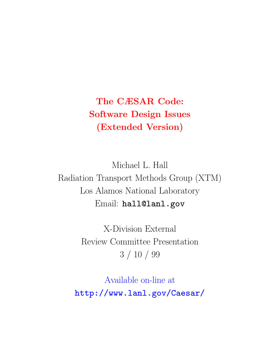## The CÆSAR Code: Software Design Issues (Extended Version)

Michael L. Hall Radiation Transport Methods Group (XTM) Los Alamos National Laboratory Email: hall@lanl.gov

> X-Division External Review Committee Presentation 3 / 10 / 99

Available on-line at http://www.lanl.gov/Caesar/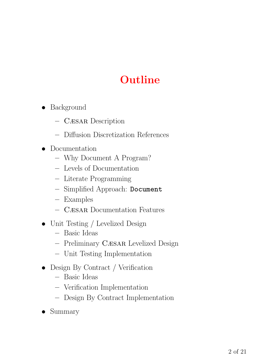# Outline

- Background
	- Cæsar Description
	- Diffusion Discretization References
- Documentation
	- Why Document A Program?
	- Levels of Documentation
	- Literate Programming
	- Simplified Approach: Document
	- Examples
	- Cæsar Documentation Features
- Unit Testing / Levelized Design
	- Basic Ideas
	- Preliminary Cæsar Levelized Design
	- Unit Testing Implementation
- Design By Contract / Verification
	- Basic Ideas
	- Verification Implementation
	- Design By Contract Implementation
- Summary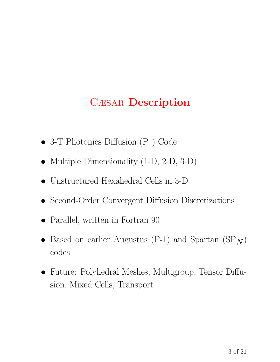## Cæsar Description

- 3-T Photonics Diffusion  $(P_1)$  Code
- Multiple Dimensionality (1-D, 2-D, 3-D)
- Unstructured Hexahedral Cells in 3-D
- Second-Order Convergent Diffusion Discretizations
- Parallel, written in Fortran 90
- Based on earlier Augustus (P-1) and Spartan  $(SP_N)$ codes
- Future: Polyhedral Meshes, Multigroup, Tensor Diffusion, Mixed Cells, Transport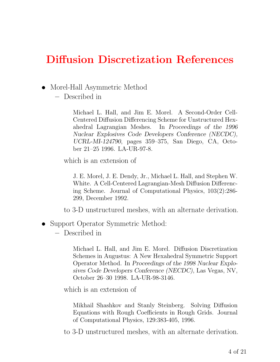### Diffusion Discretization References

- Morel-Hall Asymmetric Method
	- Described in

Michael L. Hall, and Jim E. Morel. A Second-Order Cell-Centered Diffusion Differencing Scheme for Unstructured Hexahedral Lagrangian Meshes. In Proceedings of the 1996 Nuclear Explosives Code Developers Conference (NECDC), UCRL-MI-124790, pages 359–375, San Diego, CA, October 21–25 1996. LA-UR-97-8.

which is an extension of

J. E. Morel, J. E. Dendy, Jr., Michael L. Hall, and Stephen W. White. A Cell-Centered Lagrangian-Mesh Diffusion Differencing Scheme. Journal of Computational Physics, 103(2):286- 299, December 1992.

to 3-D unstructured meshes, with an alternate derivation.

- Support Operator Symmetric Method:
	- Described in

Michael L. Hall, and Jim E. Morel. Diffusion Discretization Schemes in Augustus: A New Hexahedral Symmetric Support Operator Method. In Proceedings of the 1998 Nuclear Explosives Code Developers Conference (NECDC), Las Vegas, NV, October 26–30 1998. LA-UR-98-3146.

which is an extension of

Mikhail Shashkov and Stanly Steinberg. Solving Diffusion Equations with Rough Coefficients in Rough Grids. Journal of Computational Physics, 129:383-405, 1996.

to 3-D unstructured meshes, with an alternate derivation.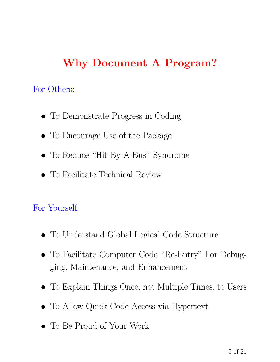# Why Document A Program?

For Others:

- To Demonstrate Progress in Coding
- To Encourage Use of the Package
- To Reduce "Hit-By-A-Bus" Syndrome
- To Facilitate Technical Review

### For Yourself:

- To Understand Global Logical Code Structure
- To Facilitate Computer Code "Re-Entry" For Debugging, Maintenance, and Enhancement
- To Explain Things Once, not Multiple Times, to Users
- To Allow Quick Code Access via Hypertext
- To Be Proud of Your Work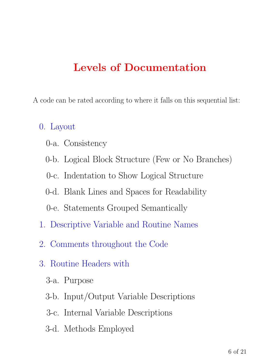## Levels of Documentation

A code can be rated according to where it falls on this sequential list:

#### 0. Layout

- 0-a. Consistency
- 0-b. Logical Block Structure (Few or No Branches)
- 0-c. Indentation to Show Logical Structure
- 0-d. Blank Lines and Spaces for Readability
- 0-e. Statements Grouped Semantically
- 1. Descriptive Variable and Routine Names
- 2. Comments throughout the Code
- 3. Routine Headers with
	- 3-a. Purpose
	- 3-b. Input/Output Variable Descriptions
	- 3-c. Internal Variable Descriptions
	- 3-d. Methods Employed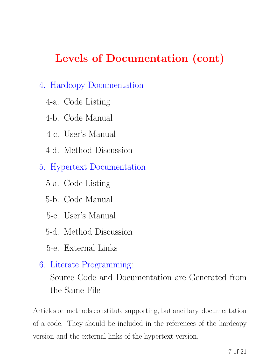# Levels of Documentation (cont)

#### 4. Hardcopy Documentation

- 4-a. Code Listing
- 4-b. Code Manual
- 4-c. User's Manual
- 4-d. Method Discussion
- 5. Hypertext Documentation
	- 5-a. Code Listing
	- 5-b. Code Manual
	- 5-c. User's Manual
	- 5-d. Method Discussion
	- 5-e. External Links
- 6. Literate Programming: Source Code and Documentation are Generated from the Same File

Articles on methods constitute supporting, but ancillary, documentation of a code. They should be included in the references of the hardcopy version and the external links of the hypertext version.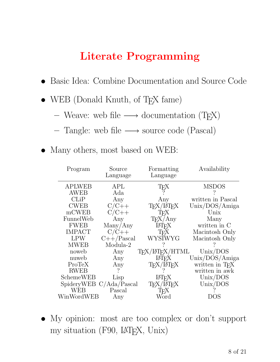## Literate Programming

- Basic Idea: Combine Documentation and Source Code
- WEB (Donald Knuth, of T<sub>E</sub>X fame)
	- Weave: web file  $\longrightarrow$  documentation (T<sub>E</sub>X)
	- Tangle: web file → source code (Pascal)
- Many others, most based on WEB:

| Program       | Source<br>Language      | Formatting<br>Language                   | Availability                |
|---------------|-------------------------|------------------------------------------|-----------------------------|
| <b>APLWEB</b> | APL                     | ТEX                                      | <b>MSDOS</b>                |
| AWEB          | Ada                     |                                          |                             |
| CLiP          | Any                     | Any                                      | written in Pascal           |
| <b>CWEB</b>   | $C/C++$                 | TFX/LATFX                                | Unix/DOS/Amiga              |
| mCWEB         | $C/C++$                 | TFX                                      | Unix                        |
| FunnelWeb     | Any                     | $T_F X/Any$                              | Many                        |
| <b>FWEB</b>   | Many/Any                | <b>IAT<sub>F</sub>X</b>                  | written in C                |
| <b>IMPACT</b> | $C/C++$                 | T <sub>F</sub> X                         | Macintosh Only              |
| <b>LPW</b>    | $C++/Pascal$            | <b>WYSIWYG</b>                           | Macintosh Only              |
| <b>MWEB</b>   | Modula-2                |                                          |                             |
| noweb         | Any                     | T <sub>F</sub> X/LIT <sub>F</sub> X/HTML | Unix/DOS                    |
| nuweb         | Any                     | <b>IAT<sub>F</sub>X</b>                  | Unix/DOS/Amiga              |
| ProTeX        | Any                     | TFX/LATFX                                | written in T <sub>F</sub> X |
| <b>RWEB</b>   |                         |                                          | written in awk              |
| SchemeWEB     | Lisp                    | LAT <sub>F</sub> X                       | Unix/DOS                    |
|               | SpideryWEB C/Ada/Pascal | TFX/LATFX                                | Unix/DOS                    |
| <b>WEB</b>    | Pascal                  | TFX                                      |                             |
| WinWordWEB    | Any                     | Word                                     | DOS                         |

• My opinion: most are too complex or don't support my situation (F90, LATEX, Unix)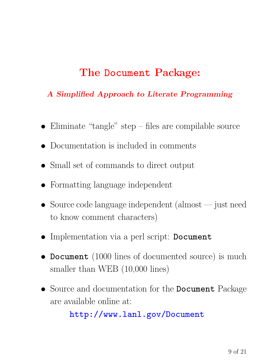## The Document Package:

#### A Simplified Approach to Literate Programming

- Eliminate "tangle" step files are compilable source
- Documentation is included in comments
- Small set of commands to direct output
- Formatting language independent
- Source code language independent (almost just need to know comment characters)
- Implementation via a perl script: Document
- Document (1000 lines of documented source) is much smaller than WEB  $(10,000 \text{ lines})$
- Source and documentation for the **Document** Package are available online at:

#### http://www.lanl.gov/Document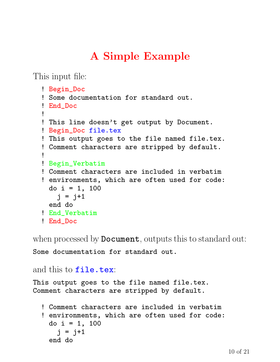# A Simple Example

This input file:

```
! Begin_Doc
! Some documentation for standard out.
! End_Doc
!
! This line doesn't get output by Document.
! Begin_Doc file.tex
! This output goes to the file named file.tex.
! Comment characters are stripped by default.
!
! Begin_Verbatim
! Comment characters are included in verbatim
! environments, which are often used for code:
 do i = 1, 100j = j+1end do
! End_Verbatim
! End_Doc
```
when processed by **Document**, outputs this to standard out:

Some documentation for standard out.

#### and this to file.tex:

This output goes to the file named file.tex. Comment characters are stripped by default.

```
! Comment characters are included in verbatim
! environments, which are often used for code:
 do i = 1, 100i = j+1end do
```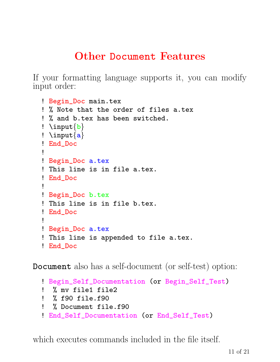## Other Document Features

If your formatting language supports it, you can modify input order:

```
! Begin_Doc main.tex
! % Note that the order of files a.tex
! % and b.tex has been switched.
! \infty! \in \{a\}! End_Doc
!
! Begin_Doc a.tex
! This line is in file a.tex.
! End_Doc
!
! Begin_Doc b.tex
! This line is in file b.tex.
! End_Doc
!
! Begin_Doc a.tex
! This line is appended to file a.tex.
! End_Doc
```
Document also has a self-document (or self-test) option:

```
! Begin_Self_Documentation (or Begin_Self_Test)
! % my file1 file2
! % f90 file.f90
! % Document file.f90
! End_Self_Documentation (or End_Self_Test)
```
which executes commands included in the file itself.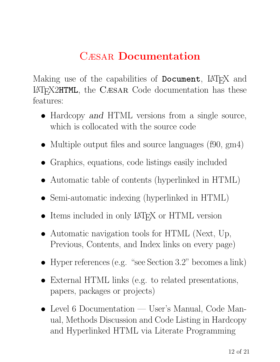# Cæsar Documentation

Making use of the capabilities of **Document**, LAT<sub>E</sub>X and <sup>L</sup>ATEX2HTML, the Cæsar Code documentation has these features:

- Hardcopy and HTML versions from a single source, which is collocated with the source code
- Multiple output files and source languages (f90, gm4)
- Graphics, equations, code listings easily included
- Automatic table of contents (hyperlinked in HTML)
- Semi-automatic indexing (hyperlinked in HTML)
- Items included in only LAT<sub>EX</sub> or HTML version
- Automatic navigation tools for HTML (Next, Up, Previous, Contents, and Index links on every page)
- Hyper references (e.g. "see Section 3.2" becomes a link)
- External HTML links (e.g. to related presentations, papers, packages or projects)
- Level 6 Documentation User's Manual, Code Manual, Methods Discussion and Code Listing in Hardcopy and Hyperlinked HTML via Literate Programming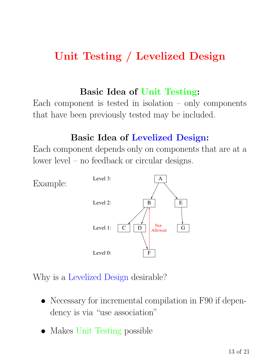## Unit Testing / Levelized Design

#### Basic Idea of Unit Testing:

Each component is tested in isolation  $-$  only components that have been previously tested may be included.

#### Basic Idea of Levelized Design:

Each component depends only on components that are at a lower level – no feedback or circular designs.



Why is a Levelized Design desirable?

- Necessary for incremental compilation in F90 if dependency is via "use association"
- Makes Unit Testing possible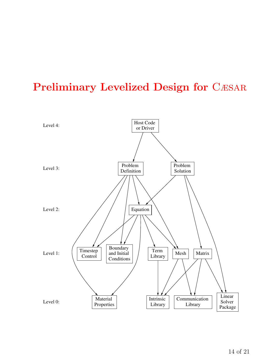## Preliminary Levelized Design for CÆSAR

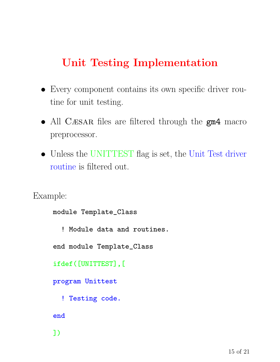## Unit Testing Implementation

- Every component contains its own specific driver routine for unit testing.
- All CÆSAR files are filtered through the  $gm4$  macro preprocessor.
- Unless the UNITTEST flag is set, the Unit Test driver routine is filtered out.

Example:

```
module Template_Class
  ! Module data and routines.
end module Template_Class
ifdef([UNITTEST],[
program Unittest
  ! Testing code.
end
])
```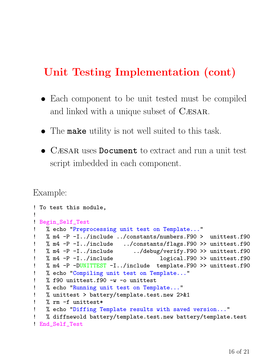## Unit Testing Implementation (cont)

- Each component to be unit tested must be compiled and linked with a unique subset of Cæsar.
- The make utility is not well suited to this task.
- CÆSAR uses Document to extract and run a unit test script imbedded in each component.

#### Example:

```
! To test this module,
!
! Begin_Self_Test
! % echo "Preprocessing unit test on Template..."
! % m4 -P -I../include ../constants/numbers.F90 > unittest.f90
! % m4 -P -I../include ../constants/flags.F90 >> unittest.f90
! % m4 -P -I../include ../debug/verify.F90 >> unittest.f90
! % m4 -P -I../include logical.F90 >> unittest.f90
! % m4 -P -DUNITTEST -I../include template.F90 >> unittest.f90
! % echo "Compiling unit test on Template..."
! % f90 unittest.f90 -w -o unittest
! % echo "Running unit test on Template..."
! % unittest > battery/template.test.new 2>&1
   % rm -f unittest*
! % echo "Diffing Template results with saved version..."
   ! % diffnewold battery/template.test.new battery/template.test
! End_Self_Test
```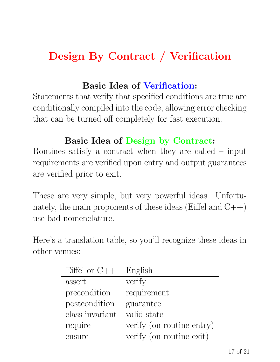# Design By Contract / Verification

#### Basic Idea of Verification:

Statements that verify that specified conditions are true are conditionally compiled into the code, allowing error checking that can be turned off completely for fast execution.

### Basic Idea of Design by Contract:

Routines satisfy a contract when they are called – input requirements are verified upon entry and output guarantees are verified prior to exit.

These are very simple, but very powerful ideas. Unfortunately, the main proponents of these ideas (Eiffel and  $C++$ ) use bad nomenclature.

Here's a translation table, so you'll recognize these ideas in other venues:

| Eiffel or $C++$ | English                   |
|-----------------|---------------------------|
| assert          | verify                    |
| precondition    | requirement               |
| postcondition   | guarantee                 |
| class invariant | valid state               |
| require         | verify (on routine entry) |
| ensure          | verify (on routine exit)  |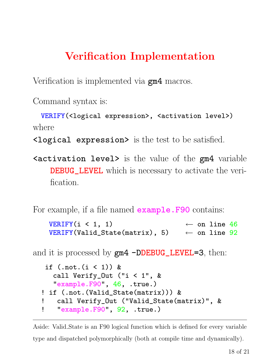# Verification Implementation

Verification is implemented via **gm4** macros.

Command syntax is:

```
VERIFY(<logical expression>, <activation level>)
where
```
 $\lambda$ logical expression> is the test to be satisfied.

 $\epsilon$  activation level> is the value of the  $\epsilon$  wariable **DEBUG\_LEVEL** which is necessary to activate the verification.

For example, if a file named **example. F90** contains:

```
VERIFY(i < 1, 1) \leftarrow on line 46
VERIFY(Valid_State(matrix), 5) \leftarrow on line 92
```
and it is processed by  $gm4$  -DDEBUG\_LEVEL=3, then:

```
if (\text{.not.}(i < 1)) &
  call Verify_Out ("i < 1", &
  "example.F90", 46, .true.)
! if (.not.(Valid_State(matrix))) &
! call Verify_Out ("Valid_State(matrix)", &
! "example.F90", 92, .true.)
```
Aside: Valid State is an F90 logical function which is defined for every variable type and dispatched polymorphically (both at compile time and dynamically).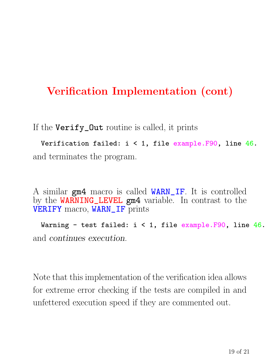## Verification Implementation (cont)

If the Verify\_Out routine is called, it prints

Verification failed: i < 1, file example.F90, line 46. and terminates the program.

A similar gm4 macro is called WARN\_IF. It is controlled by the WARNING\_LEVEL gm4 variable. In contrast to the VERIFY macro, WARN\_IF prints

Warning - test failed:  $i < 1$ , file example. F90, line 46. and continues execution.

Note that this implementation of the verification idea allows for extreme error checking if the tests are compiled in and unfettered execution speed if they are commented out.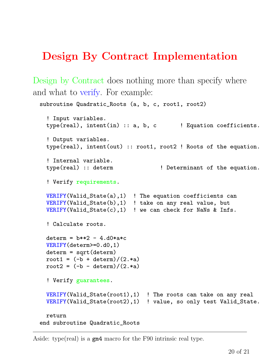## Design By Contract Implementation

Design by Contract does nothing more than specify where and what to verify. For example:

```
subroutine Quadratic_Roots (a, b, c, root1, root2)
  ! Input variables.
  type (real), int (in): a, b, c \qquad ! Equation coefficients.
  ! Output variables.
  type(real), intent(out) :: root1, root2 ! Roots of the equation.
  ! Internal variable.
  type(real) :: determ \qquad ! Determinant of the equation.
  ! Verify requirements.
  VERIFY(Valid_State(a),1) ! The equation coefficients can
  VERIFY(Valid_State(b),1) ! take on any real value, but
  VERIFY(Valid\_State(c),1) ! we can check for NaNs & Infs.
  ! Calculate roots.
  determin = b**2 - 4.d0*a*cVERIFY(determ>=0.d0,1)
  determ = sqrt(determ)
  root1 = (-b + \text{determin})/(2.*a)root2 = (-b - determ)/(2.*a)! Verify guarantees.
  VERIFY(Valid_State(root1),1) ! The roots can take on any real
  VERIFY(Valid_State(root2),1) ! value, so only test Valid_State.
  return
end subroutine Quadratic_Roots
```
Aside: type(real) is a gm4 macro for the F90 intrinsic real type.